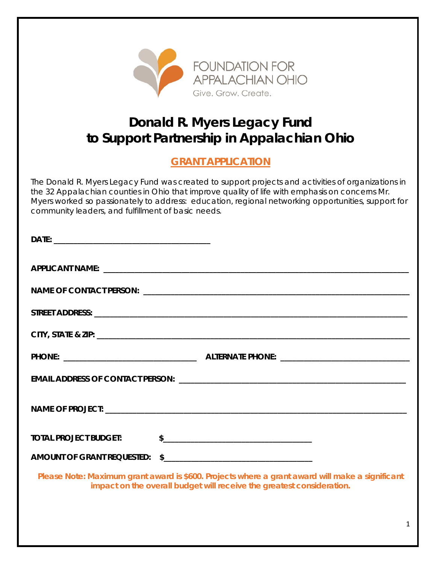

# **Donald R. Myers Legacy Fund to Support Partnership in Appalachian Ohio**

# **GRANT APPLICATION**

The Donald R. Myers Legacy Fund was created to support projects and activities of organizations in the 32 Appalachian counties in Ohio that improve quality of life with emphasis on concerns Mr. Myers worked so passionately to address: education, regional networking opportunities, support for community leaders, and fulfillment of basic needs.

| TOTAL PROJECT BUDGET: | \$                                                                                                                                                                       |
|-----------------------|--------------------------------------------------------------------------------------------------------------------------------------------------------------------------|
|                       |                                                                                                                                                                          |
|                       | Please Note: Maximum grant award is \$600. Projects where a grant award will make a significant<br>impact on the overall budget will receive the greatest consideration. |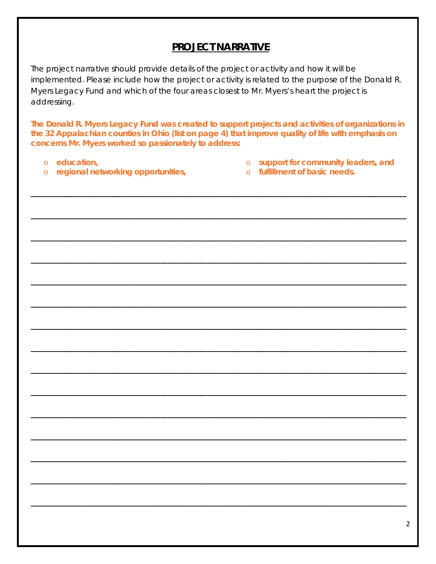### **PROJECT NARRATIVE**

The project narrative should provide details of the project or activity and how it will be implemented. Please include how the project or activity is related to the purpose of the Donald R. Myers Legacy Fund and which of the four areas closest to Mr. Myers's heart the project is addressing.

The Donald R. Myers Legacy Fund was created to support projects and activities of organizations in the 32 Appalachian counties in Ohio (list on page 4) that improve quality of life with emphasis on concerns Mr. Myers worked so passionately to address:

- o education,
- o regional networking opportunities,
- o support for community leaders, and
- o fulfillment of basic needs.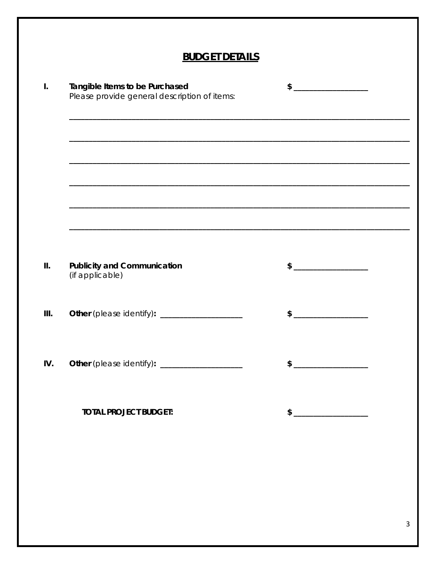| <b>BUDGET DETAILS</b>                                                             |               |  |
|-----------------------------------------------------------------------------------|---------------|--|
| Tangible Items to be Purchased<br>Please provide general description of items:    |               |  |
| ,我们也不能在这里的人,我们也不能在这里的人,我们也不能在这里的人,我们也不能在这里的人,我们也不能在这里的人,我们也不能在这里的人,我们也不能在这里的人,我们也 |               |  |
|                                                                                   |               |  |
| <b>Publicity and Communication</b><br>(if applicable)                             | \$            |  |
| Other (please identify): ____________________                                     | $\mathsf{\$}$ |  |
| Other (please identify): _____________________                                    | \$            |  |
| <b>TOTAL PROJECT BUDGET:</b>                                                      |               |  |